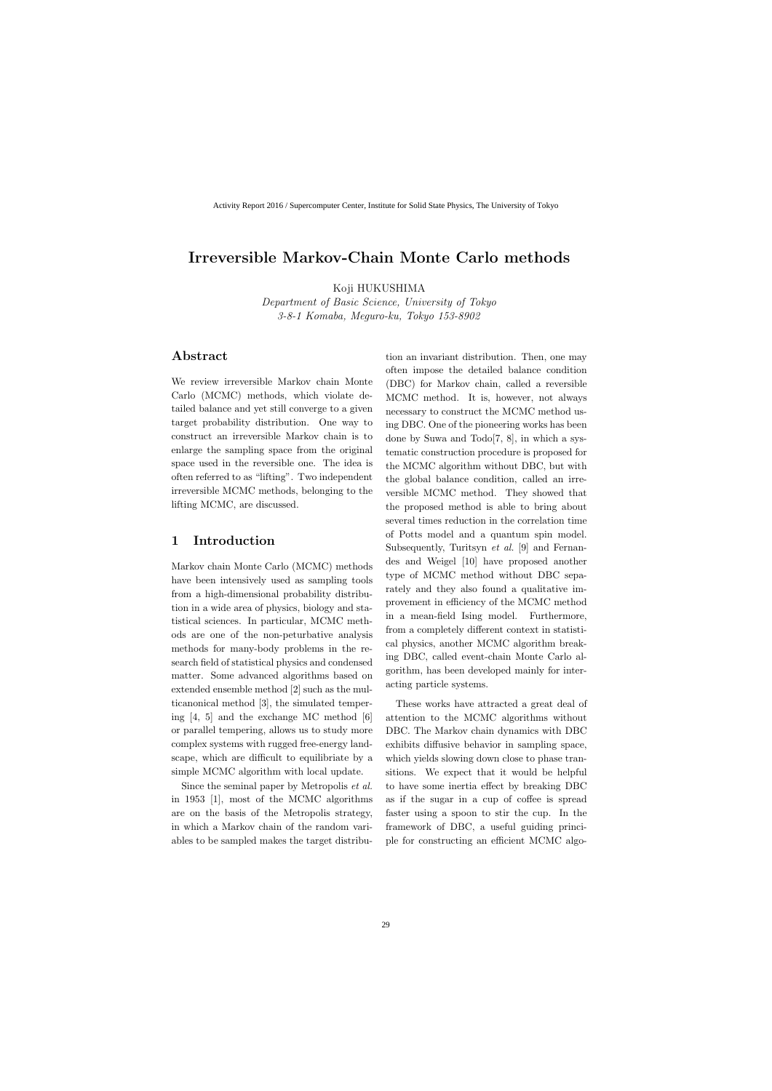# **Irreversible Markov-Chain Monte Carlo methods**

Koji HUKUSHIMA

*Department of Basic Science, University of Tokyo 3-8-1 Komaba, Meguro-ku, Tokyo 153-8902*

## **Abstract**

We review irreversible Markov chain Monte Carlo (MCMC) methods, which violate detailed balance and yet still converge to a given target probability distribution. One way to construct an irreversible Markov chain is to enlarge the sampling space from the original space used in the reversible one. The idea is often referred to as "lifting". Two independent irreversible MCMC methods, belonging to the lifting MCMC, are discussed.

## **1 Introduction**

Markov chain Monte Carlo (MCMC) methods have been intensively used as sampling tools from a high-dimensional probability distribution in a wide area of physics, biology and statistical sciences. In particular, MCMC methods are one of the non-peturbative analysis methods for many-body problems in the research field of statistical physics and condensed matter. Some advanced algorithms based on extended ensemble method [2] such as the multicanonical method [3], the simulated tempering [4, 5] and the exchange MC method [6] or parallel tempering, allows us to study more complex systems with rugged free-energy landscape, which are difficult to equilibriate by a simple MCMC algorithm with local update.

Since the seminal paper by Metropolis *et al.* in 1953 [1], most of the MCMC algorithms are on the basis of the Metropolis strategy, in which a Markov chain of the random variables to be sampled makes the target distribu-

tion an invariant distribution. Then, one may often impose the detailed balance condition (DBC) for Markov chain, called a reversible MCMC method. It is, however, not always necessary to construct the MCMC method using DBC. One of the pioneering works has been done by Suwa and Todo[7, 8], in which a systematic construction procedure is proposed for the MCMC algorithm without DBC, but with the global balance condition, called an irreversible MCMC method. They showed that the proposed method is able to bring about several times reduction in the correlation time of Potts model and a quantum spin model. Subsequently, Turitsyn *et al.* [9] and Fernandes and Weigel [10] have proposed another type of MCMC method without DBC separately and they also found a qualitative improvement in efficiency of the MCMC method in a mean-field Ising model. Furthermore, from a completely different context in statistical physics, another MCMC algorithm breaking DBC, called event-chain Monte Carlo algorithm, has been developed mainly for interacting particle systems.

These works have attracted a great deal of attention to the MCMC algorithms without DBC. The Markov chain dynamics with DBC exhibits diffusive behavior in sampling space, which yields slowing down close to phase transitions. We expect that it would be helpful to have some inertia effect by breaking DBC as if the sugar in a cup of coffee is spread faster using a spoon to stir the cup. In the framework of DBC, a useful guiding principle for constructing an efficient MCMC algo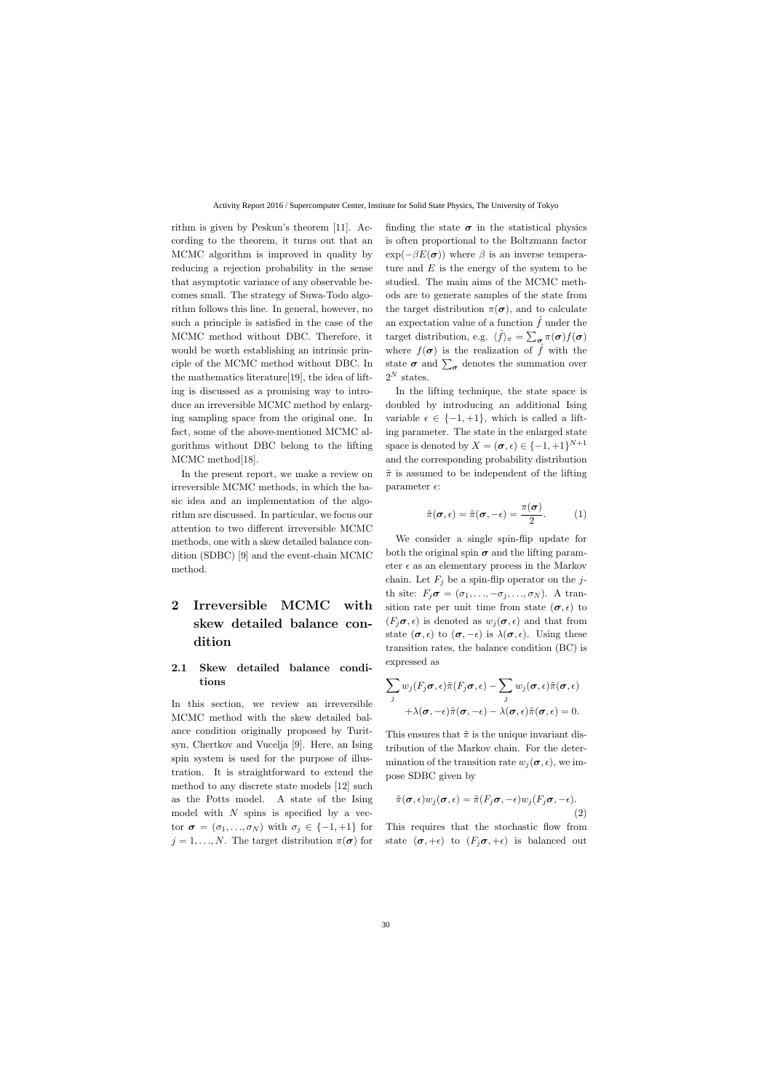rithm is given by Peskun's theorem [11]. According to the theorem, it turns out that an MCMC algorithm is improved in quality by reducing a rejection probability in the sense that asymptotic variance of any observable becomes small. The strategy of Suwa-Todo algorithm follows this line. In general, however, no such a principle is satisfied in the case of the MCMC method without DBC. Therefore, it would be worth establishing an intrinsic principle of the MCMC method without DBC. In the mathematics literature[19], the idea of lifting is discussed as a promising way to introduce an irreversible MCMC method by enlarging sampling space from the original one. In fact, some of the above-mentioned MCMC algorithms without DBC belong to the lifting MCMC method[18].

In the present report, we make a review on irreversible MCMC methods, in which the basic idea and an implementation of the algorithm are discussed. In particular, we focus our attention to two different irreversible MCMC methods, one with a skew detailed balance condition (SDBC) [9] and the event-chain MCMC method.

# **2 Irreversible MCMC with skew detailed balance condition**

## **2.1 Skew detailed balance conditions**

In this section, we review an irreversible MCMC method with the skew detailed balance condition originally proposed by Turitsyn, Chertkov and Vucelja [9]. Here, an Ising spin system is used for the purpose of illustration. It is straightforward to extend the method to any discrete state models [12] such as the Potts model. A state of the Ising model with *N* spins is specified by a vector  $\sigma = (\sigma_1, \ldots, \sigma_N)$  with  $\sigma_j \in \{-1, +1\}$  for  $j = 1, \ldots, N$ . The target distribution  $\pi(\sigma)$  for finding the state  $\sigma$  in the statistical physics is often proportional to the Boltzmann factor  $\exp(-\beta E(\boldsymbol{\sigma}))$  where  $\beta$  is an inverse temperature and *E* is the energy of the system to be studied. The main aims of the MCMC methods are to generate samples of the state from the target distribution  $\pi(\sigma)$ , and to calculate an expectation value of a function  $\hat{f}$  under the target distribution, e.g.  $\langle \hat{f} \rangle_{\pi} = \sum_{\sigma} \pi(\sigma) f(\sigma)$ where  $f(\sigma)$  is the realization of  $\hat{f}$  with the state  $\sigma$  and  $\sum_{\sigma}$  denotes the summation over  $2^N$  states.

In the lifting technique, the state space is doubled by introducing an additional Ising variable  $\epsilon \in \{-1, +1\}$ , which is called a lifting parameter. The state in the enlarged state space is denoted by  $X = (\sigma, \epsilon) \in \{-1, +1\}^{N+1}$ and the corresponding probability distribution  $\tilde{\pi}$  is assumed to be independent of the lifting parameter  $\epsilon$ :

$$
\tilde{\pi}(\boldsymbol{\sigma},\epsilon) = \tilde{\pi}(\boldsymbol{\sigma},-\epsilon) = \frac{\pi(\boldsymbol{\sigma})}{2}.
$$
 (1)

We consider a single spin-flip update for both the original spin  $\sigma$  and the lifting parameter  $\epsilon$  as an elementary process in the Markov chain. Let  $F_i$  be a spin-flip operator on the *j*th site:  $F_j \sigma = (\sigma_1, \ldots, -\sigma_j, \ldots, \sigma_N)$ . A transition rate per unit time from state  $(\sigma, \epsilon)$  to  $(F_i \sigma, \epsilon)$  is denoted as  $w_i(\sigma, \epsilon)$  and that from state  $(\sigma, \epsilon)$  to  $(\sigma, -\epsilon)$  is  $\lambda(\sigma, \epsilon)$ . Using these transition rates, the balance condition (BC) is expressed as

$$
\sum_{j} w_{j}(F_{j}\sigma, \epsilon) \tilde{\pi}(F_{j}\sigma, \epsilon) - \sum_{j} w_{j}(\sigma, \epsilon) \tilde{\pi}(\sigma, \epsilon) + \lambda(\sigma, -\epsilon) \tilde{\pi}(\sigma, -\epsilon) - \lambda(\sigma, \epsilon) \tilde{\pi}(\sigma, \epsilon) = 0.
$$

This ensures that  $\tilde{\pi}$  is the unique invariant distribution of the Markov chain. For the determination of the transition rate  $w_i(\sigma, \epsilon)$ , we impose SDBC given by

$$
\tilde{\pi}(\boldsymbol{\sigma}, \epsilon) w_j(\boldsymbol{\sigma}, \epsilon) = \tilde{\pi}(F_j \boldsymbol{\sigma}, -\epsilon) w_j(F_j \boldsymbol{\sigma}, -\epsilon).
$$
\n(2)

This requires that the stochastic flow from state  $(\sigma, +\epsilon)$  to  $(F_i \sigma, +\epsilon)$  is balanced out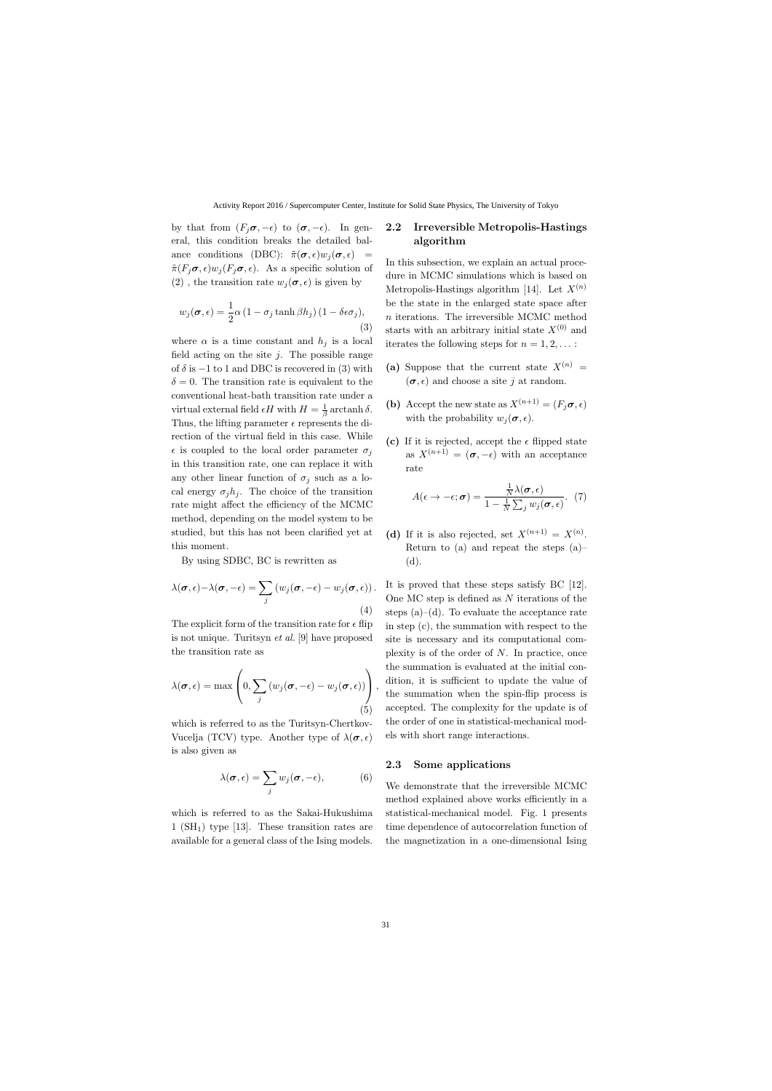by that from  $(F_i \sigma, -\epsilon)$  to  $(\sigma, -\epsilon)$ . In general, this condition breaks the detailed balance conditions (DBC):  $\tilde{\pi}(\sigma, \epsilon)w_i(\sigma, \epsilon) =$  $ilde{\pi}(F_i \sigma, \epsilon) w_i(F_i \sigma, \epsilon)$ . As a specific solution of (2), the transition rate  $w_i(\sigma, \epsilon)$  is given by

$$
w_j(\boldsymbol{\sigma}, \epsilon) = \frac{1}{2}\alpha \left(1 - \sigma_j \tanh \beta h_j\right) \left(1 - \delta \epsilon \sigma_j\right),\tag{3}
$$

where  $\alpha$  is a time constant and  $h_j$  is a local field acting on the site *j*. The possible range of  $\delta$  is  $-1$  to 1 and DBC is recovered in (3) with  $\delta = 0$ . The transition rate is equivalent to the conventional heat-bath transition rate under a virtual external field  $\epsilon H$  with  $H = \frac{1}{\beta}$ *β* arctanh *δ*. Thus, the lifting parameter  $\epsilon$  represents the direction of the virtual field in this case. While  $\epsilon$  is coupled to the local order parameter  $\sigma_i$ in this transition rate, one can replace it with any other linear function of  $\sigma_j$  such as a local energy  $\sigma_j h_j$ . The choice of the transition rate might affect the efficiency of the MCMC method, depending on the model system to be studied, but this has not been clarified yet at this moment.

By using SDBC, BC is rewritten as

$$
\lambda(\boldsymbol{\sigma}, \epsilon) - \lambda(\boldsymbol{\sigma}, -\epsilon) = \sum_{j} (w_j(\boldsymbol{\sigma}, -\epsilon) - w_j(\boldsymbol{\sigma}, \epsilon)).
$$
\n(4)

The explicit form of the transition rate for  $\epsilon$  flip is not unique. Turitsyn *et al.* [9] have proposed the transition rate as

$$
\lambda(\boldsymbol{\sigma}, \epsilon) = \max \left( 0, \sum_{j} \left( w_j(\boldsymbol{\sigma}, -\epsilon) - w_j(\boldsymbol{\sigma}, \epsilon) \right) \right),
$$
\n(5)

which is referred to as the Turitsyn-Chertkov-Vucelja (TCV) type. Another type of  $\lambda(\sigma, \epsilon)$ is also given as

$$
\lambda(\boldsymbol{\sigma}, \epsilon) = \sum_{j} w_j(\boldsymbol{\sigma}, -\epsilon), \tag{6}
$$

which is referred to as the Sakai-Hukushima  $1$  (SH<sub>1</sub>) type [13]. These transition rates are available for a general class of the Ising models.

### **2.2 Irreversible Metropolis-Hastings algorithm**

In this subsection, we explain an actual procedure in MCMC simulations which is based on Metropolis-Hastings algorithm [14]. Let  $X^{(n)}$ be the state in the enlarged state space after *n* iterations. The irreversible MCMC method starts with an arbitrary initial state  $X^{(0)}$  and iterates the following steps for  $n = 1, 2, \ldots$ :

- (a) Suppose that the current state  $X^{(n)} =$  $(\sigma, \epsilon)$  and choose a site *j* at random.
- **(b)** Accept the new state as  $X^{(n+1)} = (F_i \sigma, \epsilon)$ with the probability  $w_i(\sigma, \epsilon)$ .
- (c) If it is rejected, accept the  $\epsilon$  flipped state as  $X^{(n+1)} = (\sigma, -\epsilon)$  with an acceptance rate

$$
A(\epsilon \to -\epsilon; \boldsymbol{\sigma}) = \frac{\frac{1}{N}\lambda(\boldsymbol{\sigma}, \epsilon)}{1 - \frac{1}{N}\sum_j w_j(\boldsymbol{\sigma}, \epsilon)}. (7)
$$

(d) If it is also rejected, set  $X^{(n+1)} = X^{(n)}$ . Return to (a) and repeat the steps (a)– (d).

It is proved that these steps satisfy BC [12]. One MC step is defined as *N* iterations of the steps  $(a)$ – $(d)$ . To evaluate the acceptance rate in step (c), the summation with respect to the site is necessary and its computational complexity is of the order of *N*. In practice, once the summation is evaluated at the initial condition, it is sufficient to update the value of the summation when the spin-flip process is accepted. The complexity for the update is of the order of one in statistical-mechanical models with short range interactions.

#### **2.3 Some applications**

We demonstrate that the irreversible MCMC method explained above works efficiently in a statistical-mechanical model. Fig. 1 presents time dependence of autocorrelation function of the magnetization in a one-dimensional Ising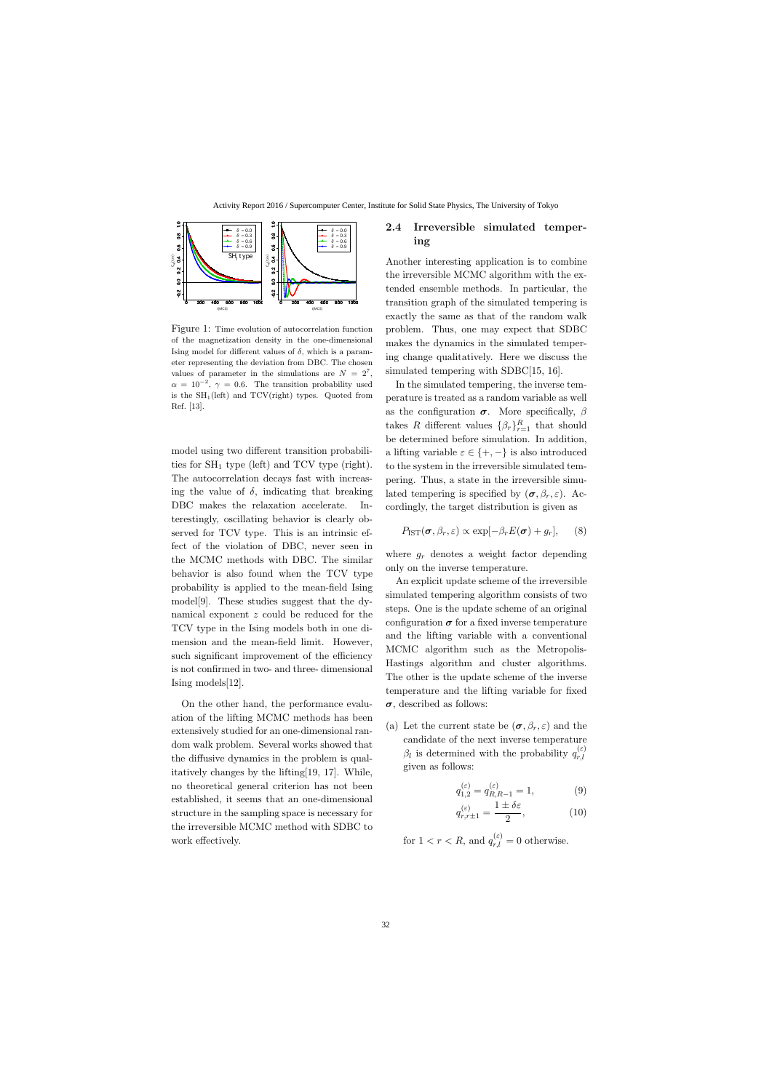

Figure 1: Time evolution of autocorrelation function of the magnetization density in the one-dimensional Ising model for different values of *δ*, which is a parameter representing the deviation from DBC. The chosen values of parameter in the simulations are  $N = 2^7$ ,  $\alpha = 10^{-2}$ ,  $\gamma = 0.6$ . The transition probability used is the  $SH_1(left)$  and  $TCV(right)$  types. Quoted from Ref. [13].

model using two different transition probabilities for  $SH_1$  type (left) and TCV type (right). The autocorrelation decays fast with increasing the value of  $\delta$ , indicating that breaking DBC makes the relaxation accelerate. Interestingly, oscillating behavior is clearly observed for TCV type. This is an intrinsic effect of the violation of DBC, never seen in the MCMC methods with DBC. The similar behavior is also found when the TCV type probability is applied to the mean-field Ising model[9]. These studies suggest that the dynamical exponent *z* could be reduced for the TCV type in the Ising models both in one dimension and the mean-field limit. However, such significant improvement of the efficiency is not confirmed in two- and three- dimensional Ising models[12].

On the other hand, the performance evaluation of the lifting MCMC methods has been extensively studied for an one-dimensional random walk problem. Several works showed that the diffusive dynamics in the problem is qualitatively changes by the lifting[19, 17]. While, no theoretical general criterion has not been established, it seems that an one-dimensional structure in the sampling space is necessary for the irreversible MCMC method with SDBC to work effectively.

## **2.4 Irreversible simulated tempering**

Another interesting application is to combine the irreversible MCMC algorithm with the extended ensemble methods. In particular, the transition graph of the simulated tempering is exactly the same as that of the random walk problem. Thus, one may expect that SDBC makes the dynamics in the simulated tempering change qualitatively. Here we discuss the simulated tempering with SDBC[15, 16].

In the simulated tempering, the inverse temperature is treated as a random variable as well as the configuration  $\sigma$ . More specifically,  $\beta$ takes *R* different values  $\{\beta_r\}_{r=1}^R$  that should be determined before simulation. In addition, a lifting variable  $\varepsilon \in \{+, -\}$  is also introduced to the system in the irreversible simulated tempering. Thus, a state in the irreversible simulated tempering is specified by  $(\sigma, \beta_r, \varepsilon)$ . Accordingly, the target distribution is given as

$$
P_{\text{IST}}(\boldsymbol{\sigma}, \beta_r, \varepsilon) \propto \exp[-\beta_r E(\boldsymbol{\sigma}) + g_r], \quad (8)
$$

where  $g_r$  denotes a weight factor depending only on the inverse temperature.

An explicit update scheme of the irreversible simulated tempering algorithm consists of two steps. One is the update scheme of an original configuration  $\sigma$  for a fixed inverse temperature and the lifting variable with a conventional MCMC algorithm such as the Metropolis-Hastings algorithm and cluster algorithms. The other is the update scheme of the inverse temperature and the lifting variable for fixed *σ*, described as follows:

(a) Let the current state be  $(\sigma, \beta_r, \varepsilon)$  and the candidate of the next inverse temperature *β*<sup>*l*</sup> is determined with the probability  $q_{r,l}^{(\varepsilon)}$ *r,l* given as follows:

$$
q_{1,2}^{(\varepsilon)} = q_{R,R-1}^{(\varepsilon)} = 1,\t\t(9)
$$

$$
q_{r,r\pm 1}^{(\varepsilon)} = \frac{1 \pm \delta \varepsilon}{2},\tag{10}
$$

for  $1 < r < R$ , and  $q_{r,l}^{(\varepsilon)} = 0$  otherwise.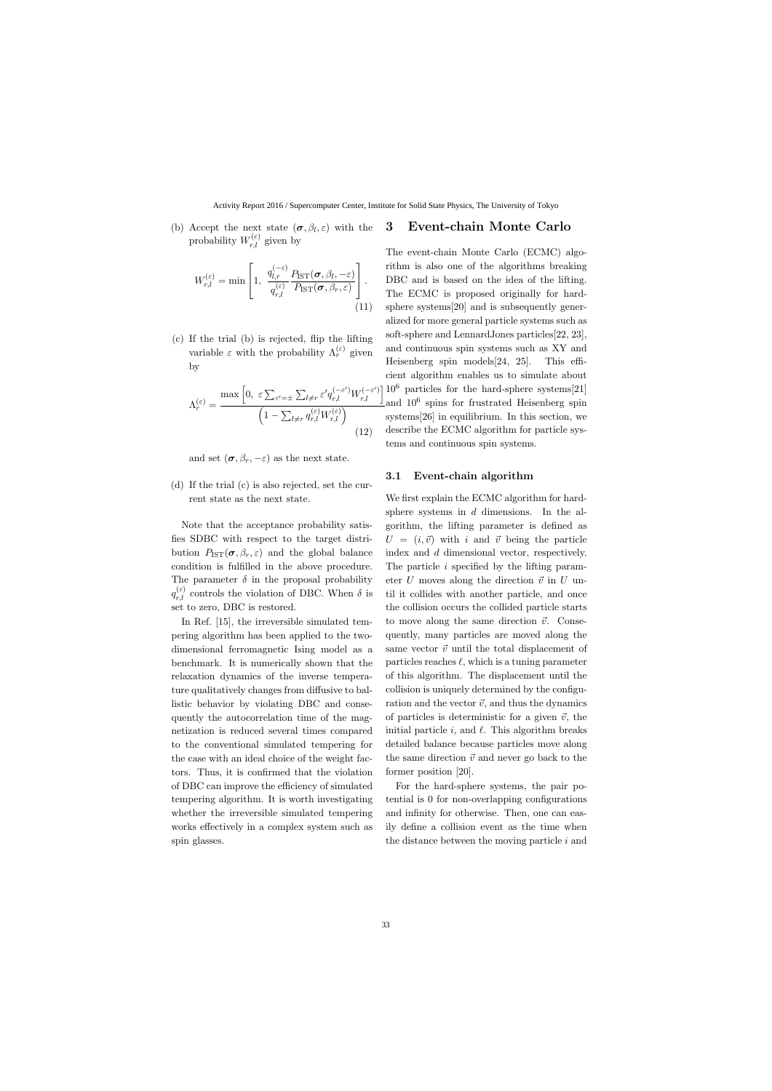(b) Accept the next state  $(\sigma, \beta_l, \varepsilon)$  with the probability  $W_{r,l}^{(\varepsilon)}$  given by

$$
W_{r,l}^{(\varepsilon)} = \min \left[ 1, \frac{q_{l,r}^{(-\varepsilon)}}{q_{r,l}^{(\varepsilon)}} \frac{P_{\text{IST}}(\boldsymbol{\sigma}, \beta_l, -\varepsilon)}{P_{\text{IST}}(\boldsymbol{\sigma}, \beta_r, \varepsilon)} \right].
$$
\n(11)

(c) If the trial (b) is rejected, flip the lifting variable  $\varepsilon$  with the probability  $\Lambda_r^{(\varepsilon)}$  given by

$$
\Lambda_r^{(\varepsilon)} = \frac{\max\left[0, \ \varepsilon \sum_{\varepsilon'= \pm} \sum_{l \neq r} \varepsilon' q_{r,l}^{(-\varepsilon')} W_{r,l}^{(-\varepsilon')}\right]}{\left(1 - \sum_{l \neq r} q_{r,l}^{(\varepsilon)} W_{r,l}^{(\varepsilon)}\right)}
$$
(12)

and set  $(\sigma, \beta_r, -\varepsilon)$  as the next state.

(d) If the trial (c) is also rejected, set the current state as the next state.

Note that the acceptance probability satisfies SDBC with respect to the target distribution  $P_{\text{IST}}(\sigma, \beta_r, \varepsilon)$  and the global balance condition is fulfilled in the above procedure. The parameter  $\delta$  in the proposal probability  $q_{r,l}^{(\varepsilon)}$  controls the violation of DBC. When  $\delta$  is set to zero, DBC is restored.

In Ref. [15], the irreversible simulated tempering algorithm has been applied to the twodimensional ferromagnetic Ising model as a benchmark. It is numerically shown that the relaxation dynamics of the inverse temperature qualitatively changes from diffusive to ballistic behavior by violating DBC and consequently the autocorrelation time of the magnetization is reduced several times compared to the conventional simulated tempering for the case with an ideal choice of the weight factors. Thus, it is confirmed that the violation of DBC can improve the efficiency of simulated tempering algorithm. It is worth investigating whether the irreversible simulated tempering works effectively in a complex system such as spin glasses.

## **3 Event-chain Monte Carlo**

The event-chain Monte Carlo (ECMC) algorithm is also one of the algorithms breaking DBC and is based on the idea of the lifting. The ECMC is proposed originally for hardsphere systems[20] and is subsequently generalized for more general particle systems such as soft-sphere and LennardJones particles[22, 23], and continuous spin systems such as XY and Heisenberg spin models[24, 25]. This efficient algorithm enables us to simulate about  $10^6$  particles for the hard-sphere systems[21] and 10<sup>6</sup> spins for frustrated Heisenberg spin systems[26] in equilibrium. In this section, we describe the ECMC algorithm for particle systems and continuous spin systems.

#### **3.1 Event-chain algorithm**

We first explain the ECMC algorithm for hardsphere systems in *d* dimensions. In the algorithm, the lifting parameter is defined as  $U = (i, \vec{v})$  with *i* and  $\vec{v}$  being the particle index and *d* dimensional vector, respectively. The particle *i* specified by the lifting parameter *U* moves along the direction  $\vec{v}$  in *U* until it collides with another particle, and once the collision occurs the collided particle starts to move along the same direction  $\vec{v}$ . Consequently, many particles are moved along the same vector  $\vec{v}$  until the total displacement of particles reaches *ℓ*, which is a tuning parameter of this algorithm. The displacement until the collision is uniquely determined by the configuration and the vector  $\vec{v}$ , and thus the dynamics of particles is deterministic for a given  $\vec{v}$ , the initial particle *i*, and *ℓ*. This algorithm breaks detailed balance because particles move along the same direction  $\vec{v}$  and never go back to the former position [20].

For the hard-sphere systems, the pair potential is 0 for non-overlapping configurations and infinity for otherwise. Then, one can easily define a collision event as the time when the distance between the moving particle *i* and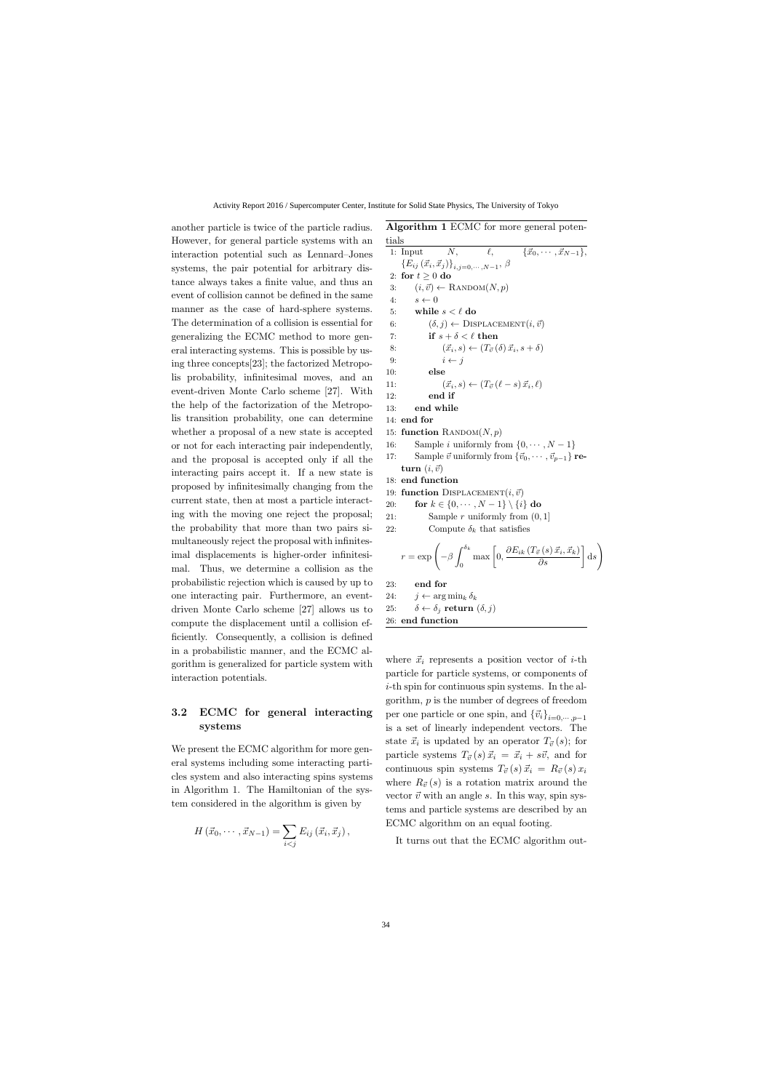another particle is twice of the particle radius. However, for general particle systems with an interaction potential such as Lennard–Jones systems, the pair potential for arbitrary distance always takes a finite value, and thus an event of collision cannot be defined in the same manner as the case of hard-sphere systems. The determination of a collision is essential for generalizing the ECMC method to more general interacting systems. This is possible by using three concepts[23]; the factorized Metropolis probability, infinitesimal moves, and an event-driven Monte Carlo scheme [27]. With the help of the factorization of the Metropolis transition probability, one can determine whether a proposal of a new state is accepted or not for each interacting pair independently, and the proposal is accepted only if all the interacting pairs accept it. If a new state is proposed by infinitesimally changing from the current state, then at most a particle interacting with the moving one reject the proposal; the probability that more than two pairs simultaneously reject the proposal with infinitesimal displacements is higher-order infinitesimal. Thus, we determine a collision as the probabilistic rejection which is caused by up to one interacting pair. Furthermore, an eventdriven Monte Carlo scheme [27] allows us to compute the displacement until a collision efficiently. Consequently, a collision is defined in a probabilistic manner, and the ECMC algorithm is generalized for particle system with interaction potentials.

## **3.2 ECMC for general interacting systems**

We present the ECMC algorithm for more general systems including some interacting particles system and also interacting spins systems in Algorithm 1. The Hamiltonian of the system considered in the algorithm is given by

$$
H\left(\vec{x}_0,\cdots,\vec{x}_{N-1}\right)=\sum_{i
$$

**Algorithm 1** ECMC for more general potentials

1: Input *N*,  $\ell$ ,  $\{\vec{x}_0, \cdots, \vec{x}_{N-1}\},\}$  ${E_{ij}(\vec{x}_i, \vec{x}_j)}_{i,j=0,\cdots,N-1}, \beta$ 2: **for**  $t \geq 0$  **do** 3:  $(i, \vec{v}) \leftarrow \text{RANDOM}(N, p)$ 4:  $s \leftarrow 0$ 5: **while** *s < ℓ* **do** 6:  $(\delta, j) \leftarrow \text{DISPLACEMENT}(i, \vec{v})$ 7: **if**  $s + \delta < \ell$  **then** 8:  $(\vec{x}_i, s) \leftarrow (T_{\vec{v}}(\delta) \vec{x}_i, s + \delta)$ 9:  $i \leftarrow j$ 10: **else** 11:  $(\vec{x}_i, s) \leftarrow (T_{\vec{v}} (\ell - s) \vec{x}_i, \ell)$ 12: **end if** 13: **end while** 14: **end for** 15: **function**  $\text{RANDOM}(N, p)$ 16: Sample *i* uniformly from  $\{0, \dots, N-1\}$ 17: Sample  $\vec{v}$  uniformly from  $\{\vec{v}_0, \dots, \vec{v}_{p-1}\}\$  **re-** $\tan(i, \vec{v})$ 18: **end function** 19: **function** DISPLACEMENT $(i, \vec{v})$ 20: **for**  $k \in \{0, \dots, N-1\} \setminus \{i\}$  **do** 21: Sample *r* uniformly from (0*,* 1] 22: Compute  $\delta_k$  that satisfies  $r = \exp \left(-\beta \int_0^{\delta_k}$  $\mathbf 0$  $\left[0, \frac{\partial E_{ik}(T_{\vec{v}}(s) \, \vec{x}_i, \vec{x}_k)}{\partial s}\right] \mathrm{d}s$  $\setminus$ 23: **end for** 24:  $j \leftarrow \arg \min_k \delta_k$ 25:  $\delta \leftarrow \delta_j$  **return**  $(\delta, j)$ 26: **end function**

where  $\vec{x}_i$  represents a position vector of *i*-th particle for particle systems, or components of *i*-th spin for continuous spin systems. In the algorithm, *p* is the number of degrees of freedom per one particle or one spin, and  ${\{\vec{v}_i\}}_{i=0,\cdots,p-1}$ is a set of linearly independent vectors. The state  $\vec{x}_i$  is updated by an operator  $T_{\vec{v}}(s)$ ; for particle systems  $T_{\vec{v}}(s) \vec{x}_i = \vec{x}_i + s\vec{v}$ , and for continuous spin systems  $T_{\vec{v}}(s) \, \vec{x_i} = R_{\vec{v}}(s) \, x_i$ where  $R_{\vec{v}}(s)$  is a rotation matrix around the vector  $\vec{v}$  with an angle  $s$ . In this way, spin systems and particle systems are described by an ECMC algorithm on an equal footing.

It turns out that the ECMC algorithm out-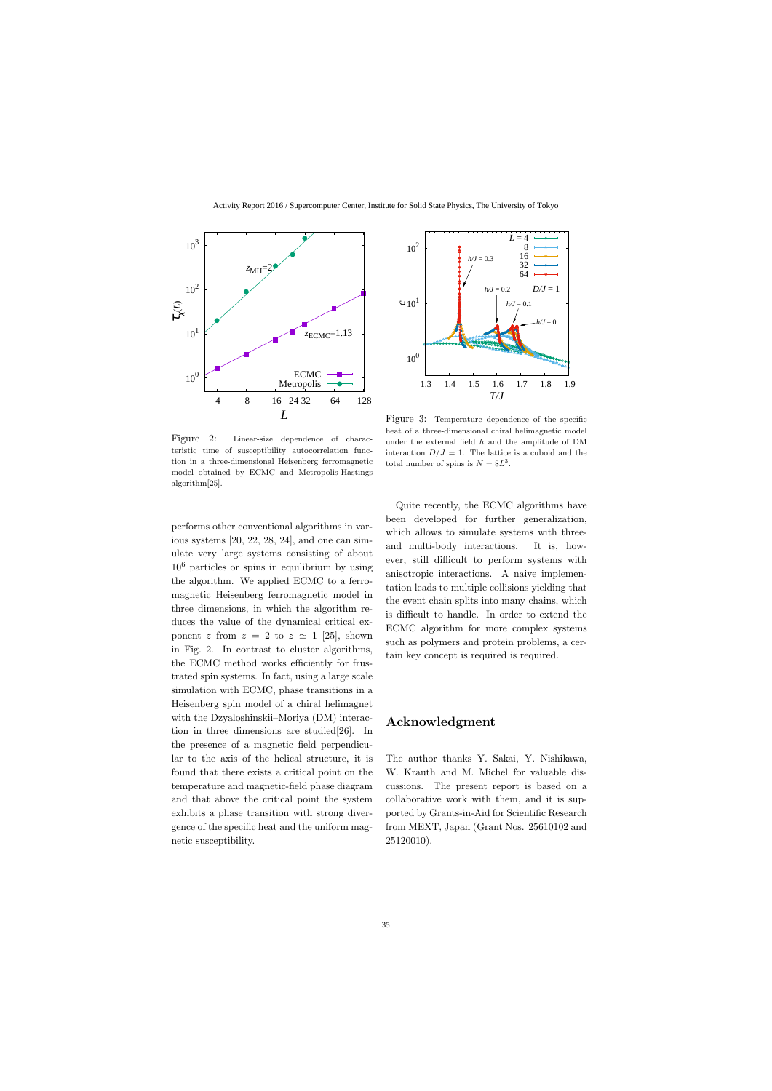

Figure 2: Linear-size dependence of characteristic time of susceptibility autocorrelation function in a three-dimensional Heisenberg ferromagnetic model obtained by ECMC and Metropolis-Hastings algorithm[25].

performs other conventional algorithms in various systems [20, 22, 28, 24], and one can simulate very large systems consisting of about  $10<sup>6</sup>$  particles or spins in equilibrium by using the algorithm. We applied ECMC to a ferromagnetic Heisenberg ferromagnetic model in three dimensions, in which the algorithm reduces the value of the dynamical critical exponent *z* from  $z = 2$  to  $z \approx 1$  [25], shown in Fig. 2. In contrast to cluster algorithms, the ECMC method works efficiently for frustrated spin systems. In fact, using a large scale simulation with ECMC, phase transitions in a Heisenberg spin model of a chiral helimagnet with the Dzyaloshinskii–Moriya (DM) interaction in three dimensions are studied[26]. In the presence of a magnetic field perpendicular to the axis of the helical structure, it is found that there exists a critical point on the temperature and magnetic-field phase diagram and that above the critical point the system exhibits a phase transition with strong divergence of the specific heat and the uniform magnetic susceptibility.



Figure 3: Temperature dependence of the specific heat of a three-dimensional chiral helimagnetic model under the external field *h* and the amplitude of DM interaction  $D/J = 1$ . The lattice is a cuboid and the total number of spins is  $N = 8L^3$ .

Quite recently, the ECMC algorithms have been developed for further generalization, which allows to simulate systems with threeand multi-body interactions. It is, however, still difficult to perform systems with anisotropic interactions. A naive implementation leads to multiple collisions yielding that the event chain splits into many chains, which is difficult to handle. In order to extend the ECMC algorithm for more complex systems such as polymers and protein problems, a certain key concept is required is required.

## **Acknowledgment**

The author thanks Y. Sakai, Y. Nishikawa, W. Krauth and M. Michel for valuable discussions. The present report is based on a collaborative work with them, and it is supported by Grants-in-Aid for Scientific Research from MEXT, Japan (Grant Nos. 25610102 and 25120010).